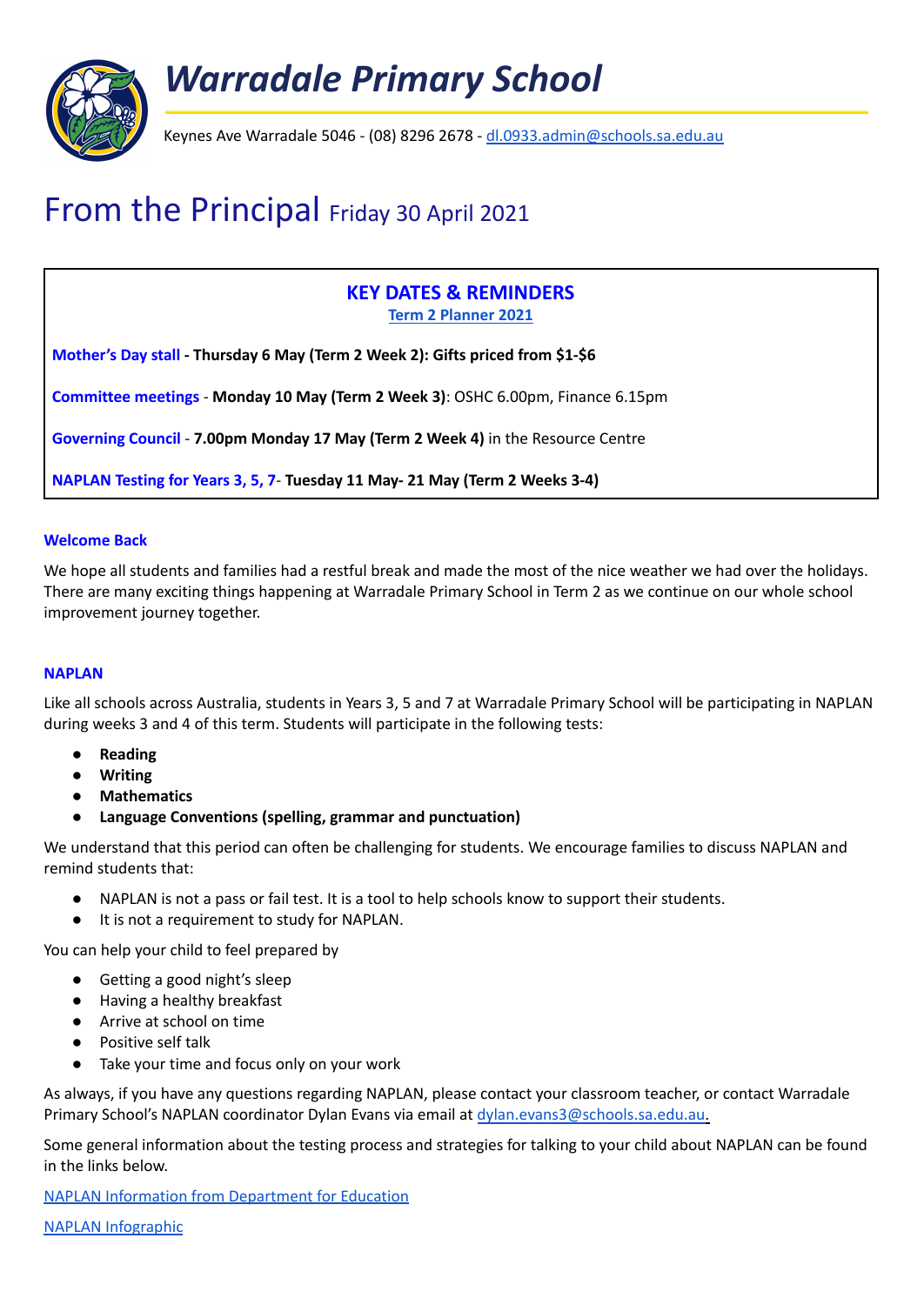

# From the Principal Friday 30 April 2021

# **KEY DATES & REMINDERS Term 2 [Planner](https://docs.google.com/spreadsheets/d/1tSYZkH_Tz8twAIrN5ZADn3122GiEBwjLDnQpBW1BVv4/edit?usp=sharing) 2021**

**Mother's Day stall - Thursday 6 May (Term 2 Week 2): Gifts priced from \$1-\$6**

**Committee meetings** - **Monday 10 May (Term 2 Week 3)**: OSHC 6.00pm, Finance 6.15pm

**Governing Council** - **7.00pm Monday 17 May (Term 2 Week 4)** in the Resource Centre

**NAPLAN Testing for Years 3, 5, 7**- **Tuesday 11 May- 21 May (Term 2 Weeks 3-4)**

# **Welcome Back**

We hope all students and families had a restful break and made the most of the nice weather we had over the holidays. There are many exciting things happening at Warradale Primary School in Term 2 as we continue on our whole school improvement journey together.

# **NAPLAN**

Like all schools across Australia, students in Years 3, 5 and 7 at Warradale Primary School will be participating in NAPLAN during weeks 3 and 4 of this term. Students will participate in the following tests:

- **● Reading**
- **● Writing**
- **● Mathematics**
- **● Language Conventions (spelling, grammar and punctuation)**

We understand that this period can often be challenging for students. We encourage families to discuss NAPLAN and remind students that:

- NAPLAN is not a pass or fail test. It is a tool to help schools know to support their students.
- It is not a requirement to study for NAPLAN.

You can help your child to feel prepared by

- Getting a good night's sleep
- Having a healthy breakfast
- Arrive at school on time
- Positive self talk
- Take your time and focus only on your work

As always, if you have any questions regarding NAPLAN, please contact your classroom teacher, or contact Warradale Primary School's NAPLAN coordinator Dylan Evans via email at [dylan.evans3@schools.sa.edu.au.](mailto:dylan.evans3@schools.sa.edu.au)

Some general information about the testing process and strategies for talking to your child about NAPLAN can be found in the links below.

NAPLAN Information from [Department](https://app.seesaw.me/pages/shared_item?item_id=item.1e48d126-a9d7-4623-a6a2-f7f526ae4b20&share_token=ehRsjMDOT0qWXxPlOByYkw&mode=share) for Education

NAPLAN [Infographic](https://www.nap.edu.au/_resources/Acara_NAPLAN_Infographic(V4-2).pdf)